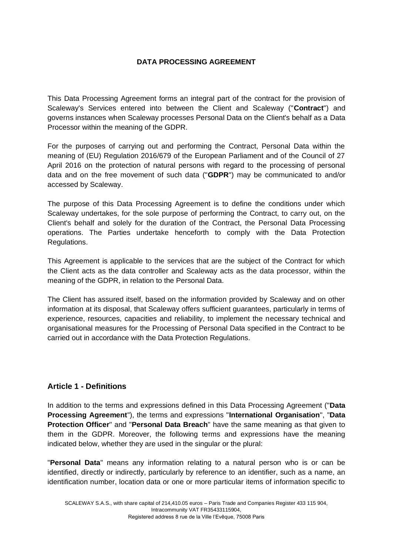# **DATA PROCESSING AGREEMENT**

This Data Processing Agreement forms an integral part of the contract for the provision of Scaleway's Services entered into between the Client and Scaleway ("**Contract**") and governs instances when Scaleway processes Personal Data on the Client's behalf as a Data Processor within the meaning of the GDPR.

For the purposes of carrying out and performing the Contract, Personal Data within the meaning of (EU) Regulation 2016/679 of the European Parliament and of the Council of 27 April 2016 on the protection of natural persons with regard to the processing of personal data and on the free movement of such data ("**GDPR**") may be communicated to and/or accessed by Scaleway.

The purpose of this Data Processing Agreement is to define the conditions under which Scaleway undertakes, for the sole purpose of performing the Contract, to carry out, on the Client's behalf and solely for the duration of the Contract, the Personal Data Processing operations. The Parties undertake henceforth to comply with the Data Protection Regulations.

This Agreement is applicable to the services that are the subject of the Contract for which the Client acts as the data controller and Scaleway acts as the data processor, within the meaning of the GDPR, in relation to the Personal Data.

The Client has assured itself, based on the information provided by Scaleway and on other information at its disposal, that Scaleway offers sufficient guarantees, particularly in terms of experience, resources, capacities and reliability, to implement the necessary technical and organisational measures for the Processing of Personal Data specified in the Contract to be carried out in accordance with the Data Protection Regulations.

## **Article 1 - Definitions**

In addition to the terms and expressions defined in this Data Processing Agreement ("**Data Processing Agreement**"), the terms and expressions "**International Organisation**", "**Data Protection Officer**" and "**Personal Data Breach**" have the same meaning as that given to them in the GDPR. Moreover, the following terms and expressions have the meaning indicated below, whether they are used in the singular or the plural:

"**Personal Data**" means any information relating to a natural person who is or can be identified, directly or indirectly, particularly by reference to an identifier, such as a name, an identification number, location data or one or more particular items of information specific to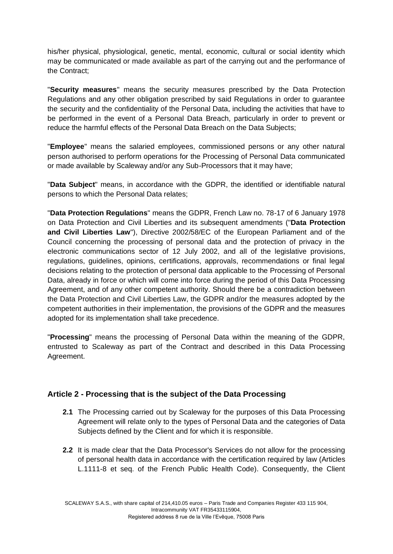his/her physical, physiological, genetic, mental, economic, cultural or social identity which may be communicated or made available as part of the carrying out and the performance of the Contract;

"**Security measures**" means the security measures prescribed by the Data Protection Regulations and any other obligation prescribed by said Regulations in order to guarantee the security and the confidentiality of the Personal Data, including the activities that have to be performed in the event of a Personal Data Breach, particularly in order to prevent or reduce the harmful effects of the Personal Data Breach on the Data Subjects;

"**Employee**" means the salaried employees, commissioned persons or any other natural person authorised to perform operations for the Processing of Personal Data communicated or made available by Scaleway and/or any Sub-Processors that it may have;

"**Data Subject**" means, in accordance with the GDPR, the identified or identifiable natural persons to which the Personal Data relates;

"**Data Protection Regulations**" means the GDPR, French Law no. 78-17 of 6 January 1978 on Data Protection and Civil Liberties and its subsequent amendments ("**Data Protection and Civil Liberties Law**"), Directive 2002/58/EC of the European Parliament and of the Council concerning the processing of personal data and the protection of privacy in the electronic communications sector of 12 July 2002, and all of the legislative provisions, regulations, guidelines, opinions, certifications, approvals, recommendations or final legal decisions relating to the protection of personal data applicable to the Processing of Personal Data, already in force or which will come into force during the period of this Data Processing Agreement, and of any other competent authority. Should there be a contradiction between the Data Protection and Civil Liberties Law, the GDPR and/or the measures adopted by the competent authorities in their implementation, the provisions of the GDPR and the measures adopted for its implementation shall take precedence.

"**Processing**" means the processing of Personal Data within the meaning of the GDPR, entrusted to Scaleway as part of the Contract and described in this Data Processing Agreement.

## **Article 2 - Processing that is the subject of the Data Processing**

- **2.1** The Processing carried out by Scaleway for the purposes of this Data Processing Agreement will relate only to the types of Personal Data and the categories of Data Subjects defined by the Client and for which it is responsible.
- **2.2** It is made clear that the Data Processor's Services do not allow for the processing of personal health data in accordance with the certification required by law (Articles L.1111-8 et seq. of the French Public Health Code). Consequently, the Client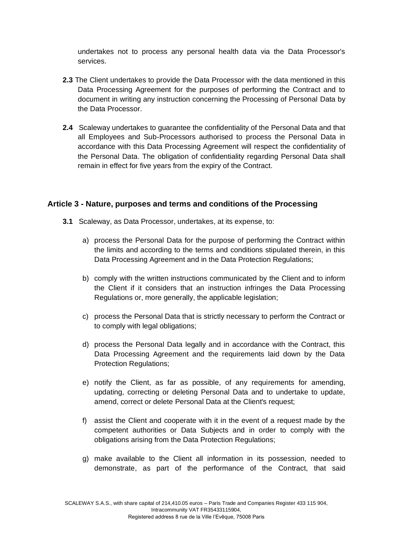undertakes not to process any personal health data via the Data Processor's services.

- **2.3** The Client undertakes to provide the Data Processor with the data mentioned in this Data Processing Agreement for the purposes of performing the Contract and to document in writing any instruction concerning the Processing of Personal Data by the Data Processor.
- **2.4** Scaleway undertakes to guarantee the confidentiality of the Personal Data and that all Employees and Sub-Processors authorised to process the Personal Data in accordance with this Data Processing Agreement will respect the confidentiality of the Personal Data. The obligation of confidentiality regarding Personal Data shall remain in effect for five years from the expiry of the Contract.

## **Article 3 - Nature, purposes and terms and conditions of the Processing**

- **3.1** Scaleway, as Data Processor, undertakes, at its expense, to:
	- a) process the Personal Data for the purpose of performing the Contract within the limits and according to the terms and conditions stipulated therein, in this Data Processing Agreement and in the Data Protection Regulations;
	- b) comply with the written instructions communicated by the Client and to inform the Client if it considers that an instruction infringes the Data Processing Regulations or, more generally, the applicable legislation;
	- c) process the Personal Data that is strictly necessary to perform the Contract or to comply with legal obligations;
	- d) process the Personal Data legally and in accordance with the Contract, this Data Processing Agreement and the requirements laid down by the Data Protection Regulations;
	- e) notify the Client, as far as possible, of any requirements for amending, updating, correcting or deleting Personal Data and to undertake to update, amend, correct or delete Personal Data at the Client's request;
	- f) assist the Client and cooperate with it in the event of a request made by the competent authorities or Data Subjects and in order to comply with the obligations arising from the Data Protection Regulations;
	- g) make available to the Client all information in its possession, needed to demonstrate, as part of the performance of the Contract, that said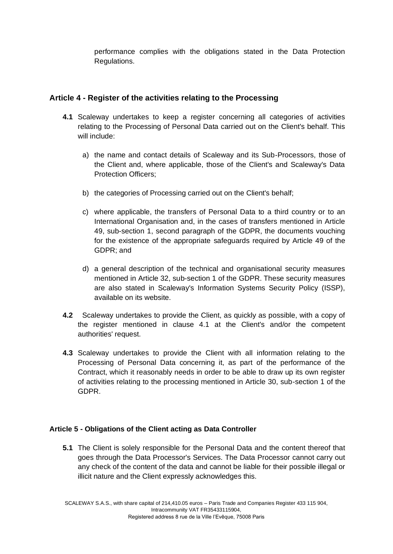performance complies with the obligations stated in the Data Protection Regulations.

# **Article 4 - Register of the activities relating to the Processing**

- **4.1** Scaleway undertakes to keep a register concerning all categories of activities relating to the Processing of Personal Data carried out on the Client's behalf. This will include:
	- a) the name and contact details of Scaleway and its Sub-Processors, those of the Client and, where applicable, those of the Client's and Scaleway's Data Protection Officers;
	- b) the categories of Processing carried out on the Client's behalf;
	- c) where applicable, the transfers of Personal Data to a third country or to an International Organisation and, in the cases of transfers mentioned in Article 49, sub-section 1, second paragraph of the GDPR, the documents vouching for the existence of the appropriate safeguards required by Article 49 of the GDPR; and
	- d) a general description of the technical and organisational security measures mentioned in Article 32, sub-section 1 of the GDPR. These security measures are also stated in Scaleway's Information Systems Security Policy (ISSP), available on its website.
- **4.2** Scaleway undertakes to provide the Client, as quickly as possible, with a copy of the register mentioned in clause 4.1 at the Client's and/or the competent authorities' request.
- **4.3** Scaleway undertakes to provide the Client with all information relating to the Processing of Personal Data concerning it, as part of the performance of the Contract, which it reasonably needs in order to be able to draw up its own register of activities relating to the processing mentioned in Article 30, sub-section 1 of the GDPR.

## **Article 5 - Obligations of the Client acting as Data Controller**

**5.1** The Client is solely responsible for the Personal Data and the content thereof that goes through the Data Processor's Services. The Data Processor cannot carry out any check of the content of the data and cannot be liable for their possible illegal or illicit nature and the Client expressly acknowledges this.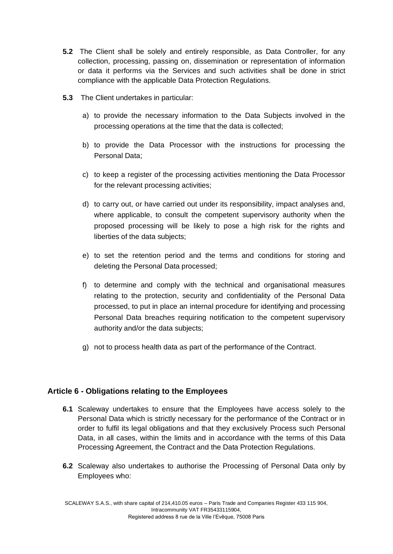- **5.2** The Client shall be solely and entirely responsible, as Data Controller, for any collection, processing, passing on, dissemination or representation of information or data it performs via the Services and such activities shall be done in strict compliance with the applicable Data Protection Regulations.
- **5.3** The Client undertakes in particular:
	- a) to provide the necessary information to the Data Subjects involved in the processing operations at the time that the data is collected;
	- b) to provide the Data Processor with the instructions for processing the Personal Data;
	- c) to keep a register of the processing activities mentioning the Data Processor for the relevant processing activities;
	- d) to carry out, or have carried out under its responsibility, impact analyses and, where applicable, to consult the competent supervisory authority when the proposed processing will be likely to pose a high risk for the rights and liberties of the data subjects;
	- e) to set the retention period and the terms and conditions for storing and deleting the Personal Data processed;
	- f) to determine and comply with the technical and organisational measures relating to the protection, security and confidentiality of the Personal Data processed, to put in place an internal procedure for identifying and processing Personal Data breaches requiring notification to the competent supervisory authority and/or the data subjects;
	- g) not to process health data as part of the performance of the Contract.

## **Article 6 - Obligations relating to the Employees**

- **6.1** Scaleway undertakes to ensure that the Employees have access solely to the Personal Data which is strictly necessary for the performance of the Contract or in order to fulfil its legal obligations and that they exclusively Process such Personal Data, in all cases, within the limits and in accordance with the terms of this Data Processing Agreement, the Contract and the Data Protection Regulations.
- **6.2** Scaleway also undertakes to authorise the Processing of Personal Data only by Employees who: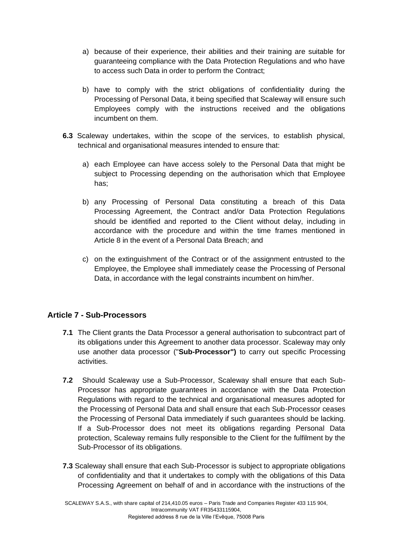- a) because of their experience, their abilities and their training are suitable for guaranteeing compliance with the Data Protection Regulations and who have to access such Data in order to perform the Contract;
- b) have to comply with the strict obligations of confidentiality during the Processing of Personal Data, it being specified that Scaleway will ensure such Employees comply with the instructions received and the obligations incumbent on them.
- **6.3** Scaleway undertakes, within the scope of the services, to establish physical, technical and organisational measures intended to ensure that:
	- a) each Employee can have access solely to the Personal Data that might be subject to Processing depending on the authorisation which that Employee has;
	- b) any Processing of Personal Data constituting a breach of this Data Processing Agreement, the Contract and/or Data Protection Regulations should be identified and reported to the Client without delay, including in accordance with the procedure and within the time frames mentioned in Article 8 in the event of a Personal Data Breach; and
	- c) on the extinguishment of the Contract or of the assignment entrusted to the Employee, the Employee shall immediately cease the Processing of Personal Data, in accordance with the legal constraints incumbent on him/her.

## **Article 7 - Sub-Processors**

- **7.1** The Client grants the Data Processor a general authorisation to subcontract part of its obligations under this Agreement to another data processor. Scaleway may only use another data processor ("**Sub-Processor")** to carry out specific Processing activities.
- **7.2** Should Scaleway use a Sub-Processor, Scaleway shall ensure that each Sub-Processor has appropriate guarantees in accordance with the Data Protection Regulations with regard to the technical and organisational measures adopted for the Processing of Personal Data and shall ensure that each Sub-Processor ceases the Processing of Personal Data immediately if such guarantees should be lacking. If a Sub-Processor does not meet its obligations regarding Personal Data protection, Scaleway remains fully responsible to the Client for the fulfilment by the Sub-Processor of its obligations.
- **7.3** Scaleway shall ensure that each Sub-Processor is subject to appropriate obligations of confidentiality and that it undertakes to comply with the obligations of this Data Processing Agreement on behalf of and in accordance with the instructions of the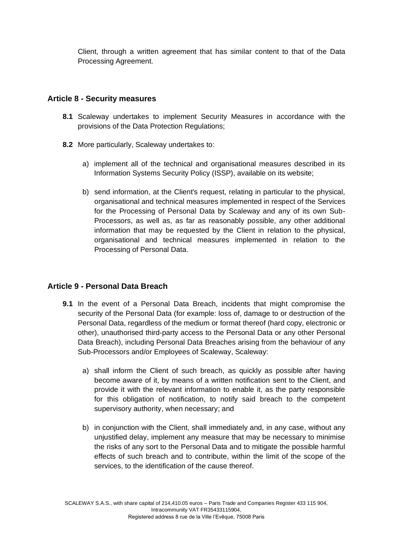Client, through a written agreement that has similar content to that of the Data Processing Agreement.

### **Article 8 - Security measures**

- **8.1** Scaleway undertakes to implement Security Measures in accordance with the provisions of the Data Protection Regulations;
- **8.2** More particularly, Scaleway undertakes to:
	- a) implement all of the technical and organisational measures described in its Information Systems Security Policy (ISSP), available on its website;
	- b) send information, at the Client's request, relating in particular to the physical, organisational and technical measures implemented in respect of the Services for the Processing of Personal Data by Scaleway and any of its own Sub-Processors, as well as, as far as reasonably possible, any other additional information that may be requested by the Client in relation to the physical, organisational and technical measures implemented in relation to the Processing of Personal Data.

## **Article 9 - Personal Data Breach**

- **9.1** In the event of a Personal Data Breach, incidents that might compromise the security of the Personal Data (for example: loss of, damage to or destruction of the Personal Data, regardless of the medium or format thereof (hard copy, electronic or other), unauthorised third-party access to the Personal Data or any other Personal Data Breach), including Personal Data Breaches arising from the behaviour of any Sub-Processors and/or Employees of Scaleway, Scaleway:
	- a) shall inform the Client of such breach, as quickly as possible after having become aware of it, by means of a written notification sent to the Client, and provide it with the relevant information to enable it, as the party responsible for this obligation of notification, to notify said breach to the competent supervisory authority, when necessary; and
	- b) in conjunction with the Client, shall immediately and, in any case, without any unjustified delay, implement any measure that may be necessary to minimise the risks of any sort to the Personal Data and to mitigate the possible harmful effects of such breach and to contribute, within the limit of the scope of the services, to the identification of the cause thereof.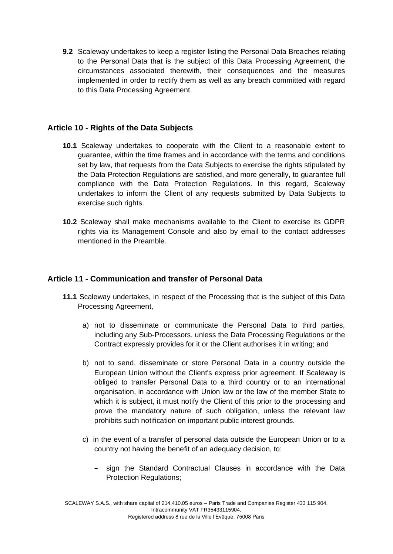**9.2** Scaleway undertakes to keep a register listing the Personal Data Breaches relating to the Personal Data that is the subject of this Data Processing Agreement, the circumstances associated therewith, their consequences and the measures implemented in order to rectify them as well as any breach committed with regard to this Data Processing Agreement.

## **Article 10 - Rights of the Data Subjects**

- **10.1** Scaleway undertakes to cooperate with the Client to a reasonable extent to guarantee, within the time frames and in accordance with the terms and conditions set by law, that requests from the Data Subjects to exercise the rights stipulated by the Data Protection Regulations are satisfied, and more generally, to guarantee full compliance with the Data Protection Regulations. In this regard, Scaleway undertakes to inform the Client of any requests submitted by Data Subjects to exercise such rights.
- **10.2** Scaleway shall make mechanisms available to the Client to exercise its GDPR rights via its Management Console and also by email to the contact addresses mentioned in the Preamble.

### **Article 11 - Communication and transfer of Personal Data**

- **11.1** Scaleway undertakes, in respect of the Processing that is the subject of this Data Processing Agreement,
	- a) not to disseminate or communicate the Personal Data to third parties, including any Sub-Processors, unless the Data Processing Regulations or the Contract expressly provides for it or the Client authorises it in writing; and
	- b) not to send, disseminate or store Personal Data in a country outside the European Union without the Client's express prior agreement. If Scaleway is obliged to transfer Personal Data to a third country or to an international organisation, in accordance with Union law or the law of the member State to which it is subject, it must notify the Client of this prior to the processing and prove the mandatory nature of such obligation, unless the relevant law prohibits such notification on important public interest grounds.
	- c) in the event of a transfer of personal data outside the European Union or to a country not having the benefit of an adequacy decision, to:
		- − sign the Standard Contractual Clauses in accordance with the Data Protection Regulations;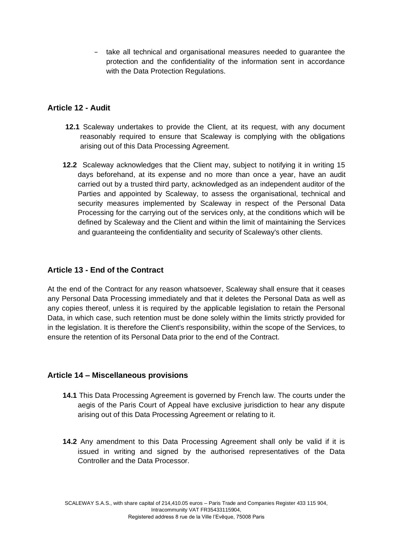− take all technical and organisational measures needed to guarantee the protection and the confidentiality of the information sent in accordance with the Data Protection Regulations.

## **Article 12 - Audit**

- **12.1** Scaleway undertakes to provide the Client, at its request, with any document reasonably required to ensure that Scaleway is complying with the obligations arising out of this Data Processing Agreement.
- **12.2** Scaleway acknowledges that the Client may, subject to notifying it in writing 15 days beforehand, at its expense and no more than once a year, have an audit carried out by a trusted third party, acknowledged as an independent auditor of the Parties and appointed by Scaleway, to assess the organisational, technical and security measures implemented by Scaleway in respect of the Personal Data Processing for the carrying out of the services only, at the conditions which will be defined by Scaleway and the Client and within the limit of maintaining the Services and guaranteeing the confidentiality and security of Scaleway's other clients.

# **Article 13 - End of the Contract**

At the end of the Contract for any reason whatsoever, Scaleway shall ensure that it ceases any Personal Data Processing immediately and that it deletes the Personal Data as well as any copies thereof, unless it is required by the applicable legislation to retain the Personal Data, in which case, such retention must be done solely within the limits strictly provided for in the legislation. It is therefore the Client's responsibility, within the scope of the Services, to ensure the retention of its Personal Data prior to the end of the Contract.

## **Article 14 – Miscellaneous provisions**

- **14.1** This Data Processing Agreement is governed by French law. The courts under the aegis of the Paris Court of Appeal have exclusive jurisdiction to hear any dispute arising out of this Data Processing Agreement or relating to it.
- **14.2** Any amendment to this Data Processing Agreement shall only be valid if it is issued in writing and signed by the authorised representatives of the Data Controller and the Data Processor.